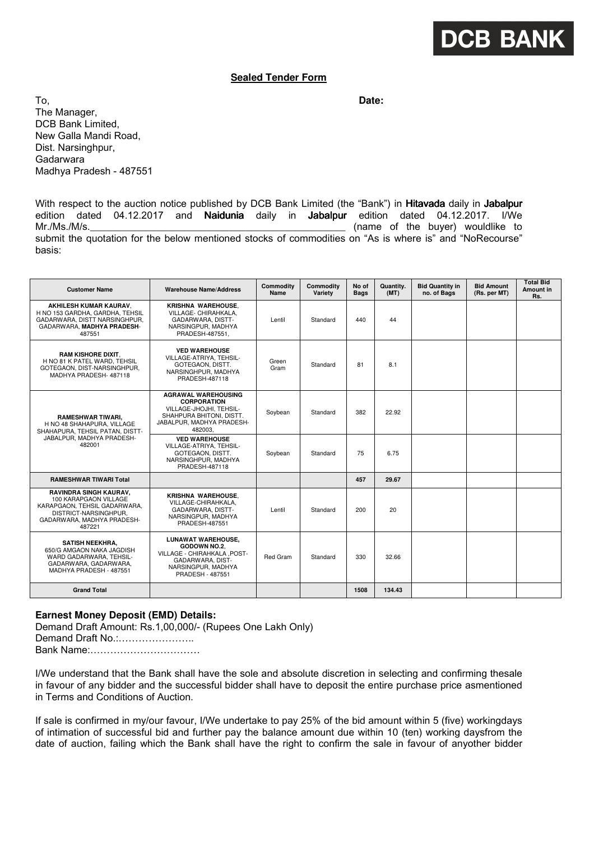## **DCB BANK**

## **Sealed Tender Form**

To, **Date:**  The Manager, DCB Bank Limited, New Galla Mandi Road, Dist. Narsinghpur, Gadarwara Madhya Pradesh - 487551

With respect to the auction notice published by DCB Bank Limited (the "Bank") in Hitavada daily in Jabalpur edition dated 04.12.2017 and Naidunia daily in Jabalpur edition dated 04.12.2017. I/We Mr./Ms./M/s.\_\_\_\_\_\_\_\_\_\_\_\_\_\_\_\_\_\_\_\_\_\_\_\_\_\_\_\_\_\_\_\_\_\_\_\_\_\_\_\_\_\_\_\_\_\_ (name of the buyer) wouldlike to submit the quotation for the below mentioned stocks of commodities on "As is where is" and "NoRecourse" basis:

| <b>Customer Name</b>                                                                                                                             | <b>Warehouse Name/Address</b>                                                                                                                   | <b>Commodity</b><br>Name | <b>Commodity</b><br>Variety | No of<br><b>Bags</b> | Quantity.<br>(MT) | <b>Bid Quantity in</b><br>no. of Bags | <b>Bid Amount</b><br>(Rs. per MT) | <b>Total Bid</b><br>Amount in<br>Rs. |
|--------------------------------------------------------------------------------------------------------------------------------------------------|-------------------------------------------------------------------------------------------------------------------------------------------------|--------------------------|-----------------------------|----------------------|-------------------|---------------------------------------|-----------------------------------|--------------------------------------|
| AKHILESH KUMAR KAURAV.<br>H NO 153 GARDHA, GARDHA, TEHSIL<br>GADARWARA, DISTT NARSINGHPUR,<br>GADARWARA. MADHYA PRADESH-<br>487551               | <b>KRISHNA WAREHOUSE,</b><br>VILLAGE- CHIRAHKALA,<br>GADARWARA, DISTT-<br>NARSINGPUR, MADHYA<br>PRADESH-487551,                                 | Lentil                   | Standard                    | 440                  | 44                |                                       |                                   |                                      |
| <b>RAM KISHORE DIXIT.</b><br>H NO 81 K PATEL WARD. TEHSIL<br>GOTEGAON, DIST-NARSINGHPUR,<br>MADHYA PRADESH-487118                                | <b>VED WAREHOUSE</b><br>VILLAGE-ATRIYA. TEHSIL-<br>GOTEGAON, DISTT.<br>NARSINGHPUR, MADHYA<br>PRADESH-487118                                    | Green<br>Gram            | Standard                    | 81                   | 8.1               |                                       |                                   |                                      |
| <b>RAMESHWAR TIWARI,</b><br>H NO 48 SHAHAPURA, VILLAGE<br>SHAHAPURA, TEHSIL PATAN, DISTT-<br>JABALPUR. MADHYA PRADESH-<br>482001                 | <b>AGRAWAL WAREHOUSING</b><br><b>CORPORATION</b><br>VILLAGE-JHOJHI. TEHSIL-<br>SHAHPURA BHITONI, DISTT.<br>JABALPUR. MADHYA PRADESH-<br>482003. | Soybean                  | Standard                    | 382                  | 22.92             |                                       |                                   |                                      |
|                                                                                                                                                  | <b>VED WAREHOUSE</b><br>VILLAGE-ATRIYA, TEHSIL-<br>GOTEGAON, DISTT.<br>NARSINGHPUR, MADHYA<br>PRADESH-487118                                    | Soybean                  | Standard                    | 75                   | 6.75              |                                       |                                   |                                      |
| <b>RAMESHWAR TIWARI Total</b>                                                                                                                    |                                                                                                                                                 |                          |                             | 457                  | 29.67             |                                       |                                   |                                      |
| RAVINDRA SINGH KAURAV,<br>100 KARAPGAON VILLAGE<br>KARAPGAON. TEHSIL GADARWARA.<br>DISTRICT-NARSINGHPUR.<br>GADARWARA, MADHYA PRADESH-<br>487221 | KRISHNA WAREHOUSE.<br>VILLAGE-CHIRAHKALA.<br>GADARWARA, DISTT-<br>NARSINGPUR, MADHYA<br>PRADESH-487551                                          | Lentil                   | Standard                    | 200                  | 20                |                                       |                                   |                                      |
| <b>SATISH NEEKHRA,</b><br>650/G AMGAON NAKA JAGDISH<br>WARD GADARWARA, TEHSIL-<br>GADARWARA, GADARWARA,<br>MADHYA PRADESH - 487551               | <b>LUNAWAT WAREHOUSE.</b><br>GODOWN NO.2.<br>VILLAGE - CHIRAHKALA , POST-<br>GADARWARA, DIST-<br>NARSINGPUR, MADHYA<br>PRADESH - 487551         | <b>Red Gram</b>          | Standard                    | 330                  | 32.66             |                                       |                                   |                                      |
| <b>Grand Total</b>                                                                                                                               |                                                                                                                                                 |                          |                             | 1508                 | 134.43            |                                       |                                   |                                      |

## **Earnest Money Deposit (EMD) Details:**

Demand Draft Amount: Rs.1,00,000/- (Rupees One Lakh Only) Demand Draft No.:…………………..

Bank Name:……………………………

I/We understand that the Bank shall have the sole and absolute discretion in selecting and confirming thesale in favour of any bidder and the successful bidder shall have to deposit the entire purchase price asmentioned in Terms and Conditions of Auction.

If sale is confirmed in my/our favour, I/We undertake to pay 25% of the bid amount within 5 (five) workingdays of intimation of successful bid and further pay the balance amount due within 10 (ten) working daysfrom the date of auction, failing which the Bank shall have the right to confirm the sale in favour of anyother bidder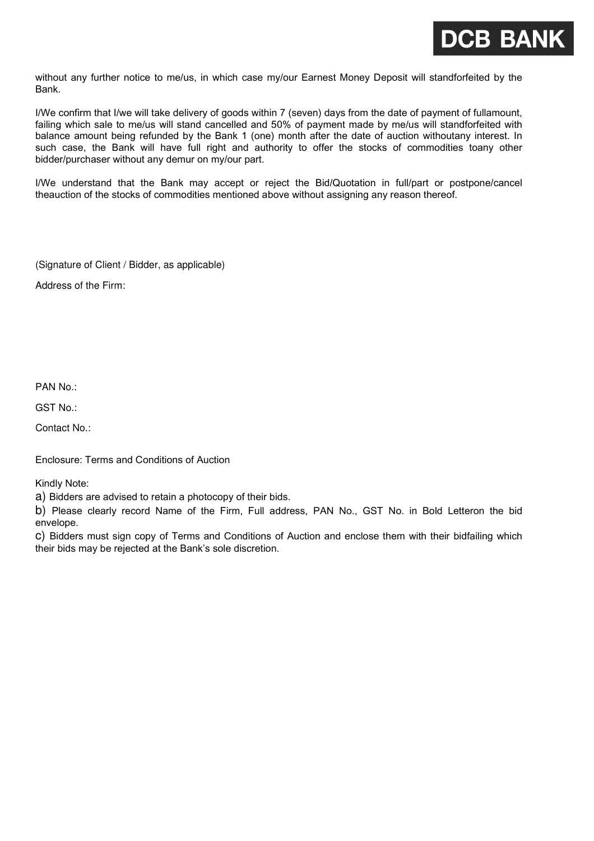

without any further notice to me/us, in which case my/our Earnest Money Deposit will standforfeited by the Bank.

I/We confirm that I/we will take delivery of goods within 7 (seven) days from the date of payment of fullamount, failing which sale to me/us will stand cancelled and 50% of payment made by me/us will standforfeited with balance amount being refunded by the Bank 1 (one) month after the date of auction withoutany interest. In such case, the Bank will have full right and authority to offer the stocks of commodities toany other bidder/purchaser without any demur on my/our part.

I/We understand that the Bank may accept or reject the Bid/Quotation in full/part or postpone/cancel theauction of the stocks of commodities mentioned above without assigning any reason thereof.

(Signature of Client / Bidder, as applicable)

Address of the Firm:

PAN No.:

GST No.:

Contact No.:

Enclosure: Terms and Conditions of Auction

Kindly Note:

a) Bidders are advised to retain a photocopy of their bids.

b) Please clearly record Name of the Firm, Full address, PAN No., GST No. in Bold Letteron the bid envelope.

c) Bidders must sign copy of Terms and Conditions of Auction and enclose them with their bidfailing which their bids may be rejected at the Bank's sole discretion.